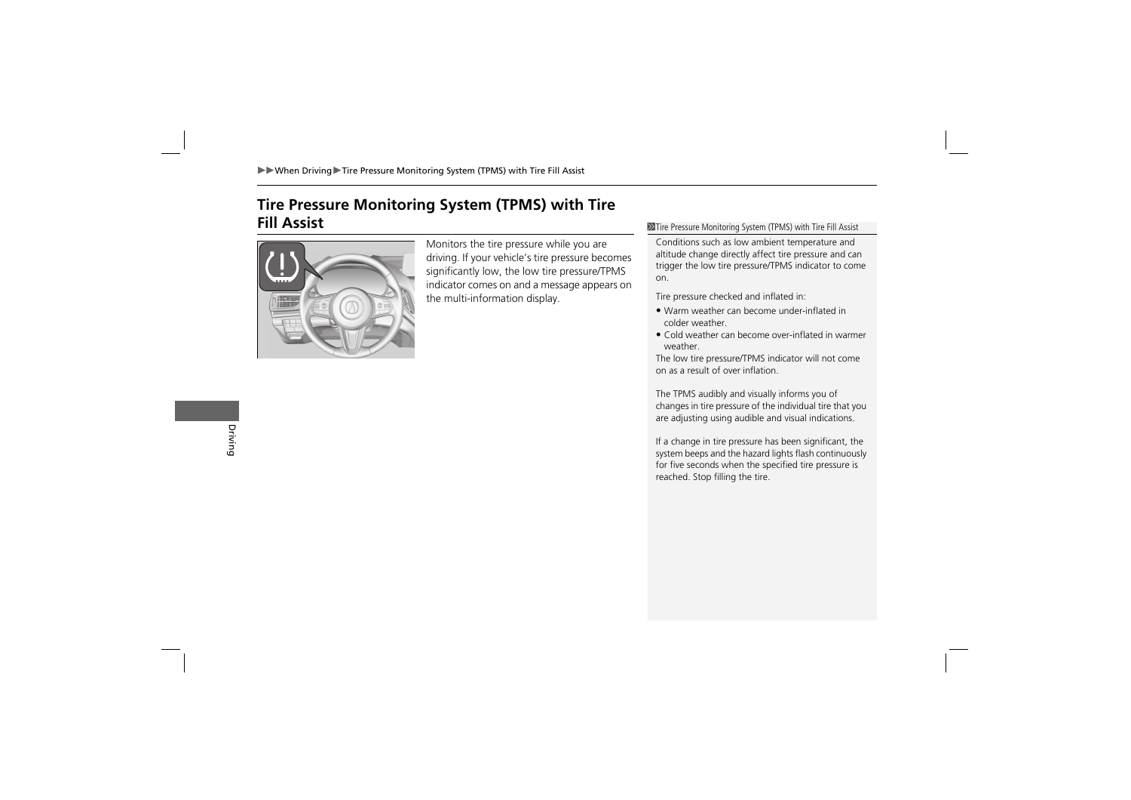# **Tire Pressure Monitoring System (TPMS) with Tire Fill Assist**



Monitors the tire pressure while you are driving. If your vehicle's tire pressure becomes significantly low, the low tire pressure/TPMS indicator comes on and a message appears on the multi-information display.

#### **If** Tire Pressure Monitoring System (TPMS) with Tire Fill Assist

Conditions such as low ambient temperature and altitude chan g e directly affect tire pressure and can trigger the low tire pressure/TPMS indicator to come on.

Tire pressure checked and inflated in:

- Warm weather can become under-inflated in colder weather.
- Cold weather can become over-inflated in warmer weather.

The low tire pressure/TPMS indicator will not come on as a result of over inflation.

The TPMS audibly and visually informs you of changes in tire pressure of the individual tire that you are adjusting using audible and visual indications.

If a change in tire pressure has been significant, the system beeps and the hazard lights flash continuously for five seconds when the specified tire pressure is reached. Stop filling the tire.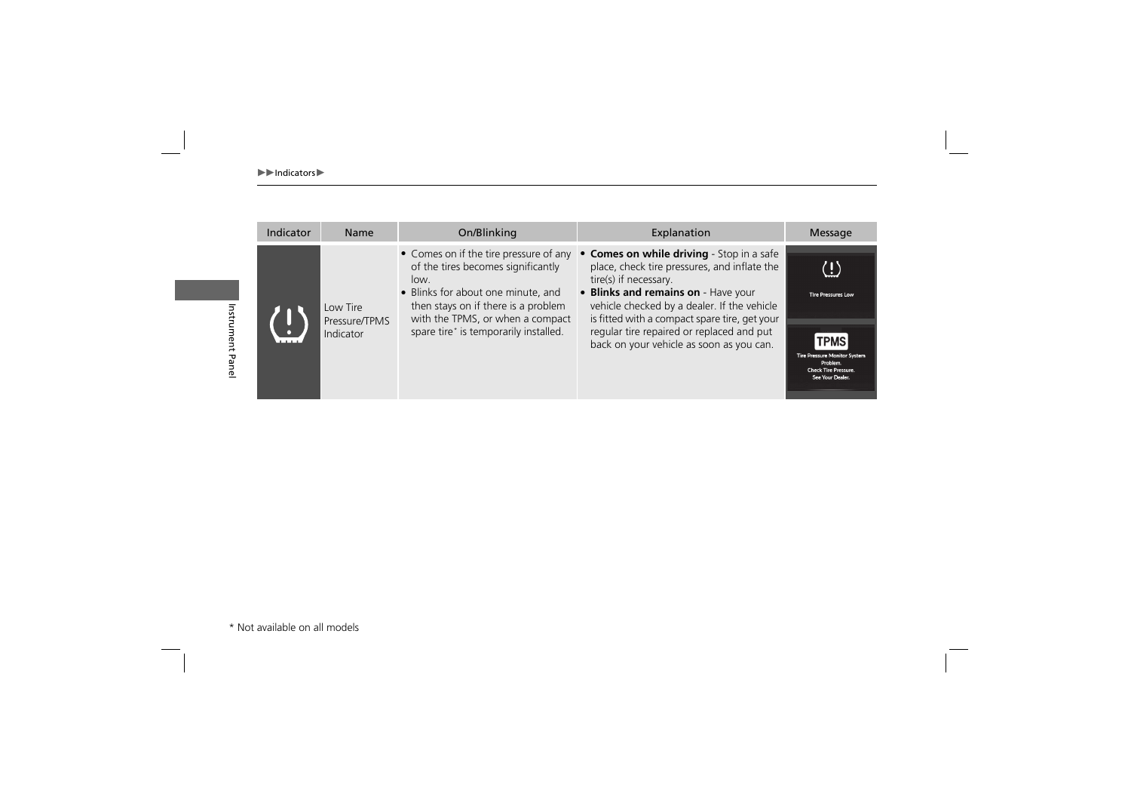| Indicator | Name                                   | On/Blinking                                                                                                                                                                                                                                    | Explanation                                                                                                                                                                                                                                                                                                                                        | Message                                                                                                                                                                     |
|-----------|----------------------------------------|------------------------------------------------------------------------------------------------------------------------------------------------------------------------------------------------------------------------------------------------|----------------------------------------------------------------------------------------------------------------------------------------------------------------------------------------------------------------------------------------------------------------------------------------------------------------------------------------------------|-----------------------------------------------------------------------------------------------------------------------------------------------------------------------------|
|           | Low Tire<br>Pressure/TPMS<br>Indicator | • Comes on if the tire pressure of any<br>of the tires becomes significantly<br>low.<br>• Blinks for about one minute, and<br>then stays on if there is a problem<br>with the TPMS, or when a compact<br>spare tire* is temporarily installed. | • Comes on while driving - Stop in a safe<br>place, check tire pressures, and inflate the<br>tire(s) if necessary.<br>• Blinks and remains on - Have your<br>vehicle checked by a dealer. If the vehicle<br>is fitted with a compact spare tire, get your<br>regular tire repaired or replaced and put<br>back on your vehicle as soon as you can. | $\langle \, l \, \rangle$<br><b>Tire Pressures Low</b><br><b>TPMS</b><br><b>Tire Pressure Monitor System</b><br>Problem.<br><b>Check Tire Pressure.</b><br>See Your Dealer. |